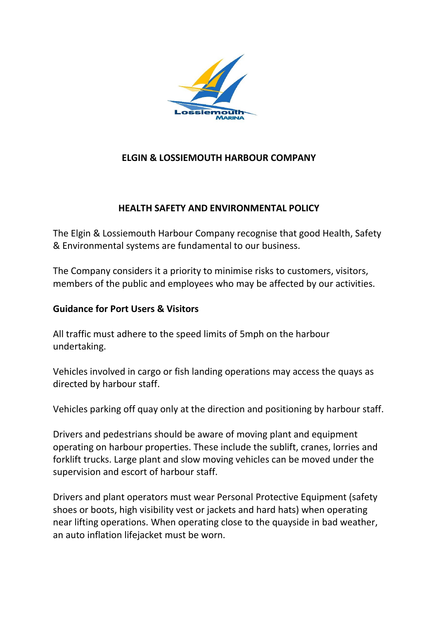

# **ELGIN & LOSSIEMOUTH HARBOUR COMPANY**

# **HEALTH SAFETY AND ENVIRONMENTAL POLICY**

The Elgin & Lossiemouth Harbour Company recognise that good Health, Safety & Environmental systems are fundamental to our business.

The Company considers it a priority to minimise risks to customers, visitors, members of the public and employees who may be affected by our activities.

## **Guidance for Port Users & Visitors**

All traffic must adhere to the speed limits of 5mph on the harbour undertaking.

Vehicles involved in cargo or fish landing operations may access the quays as directed by harbour staff.

Vehicles parking off quay only at the direction and positioning by harbour staff.

Drivers and pedestrians should be aware of moving plant and equipment operating on harbour properties. These include the sublift, cranes, lorries and forklift trucks. Large plant and slow moving vehicles can be moved under the supervision and escort of harbour staff.

Drivers and plant operators must wear Personal Protective Equipment (safety shoes or boots, high visibility vest or jackets and hard hats) when operating near lifting operations. When operating close to the quayside in bad weather, an auto inflation lifejacket must be worn.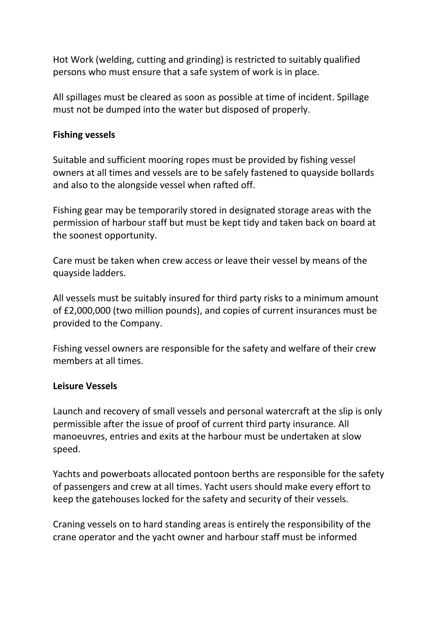Hot Work (welding, cutting and grinding) is restricted to suitably qualified persons who must ensure that a safe system of work is in place.

All spillages must be cleared as soon as possible at time of incident. Spillage must not be dumped into the water but disposed of properly.

### **Fishing vessels**

Suitable and sufficient mooring ropes must be provided by fishing vessel owners at all times and vessels are to be safely fastened to quayside bollards and also to the alongside vessel when rafted off.

Fishing gear may be temporarily stored in designated storage areas with the permission of harbour staff but must be kept tidy and taken back on board at the soonest opportunity.

Care must be taken when crew access or leave their vessel by means of the quayside ladders.

All vessels must be suitably insured for third party risks to a minimum amount of £2,000,000 (two million pounds), and copies of current insurances must be provided to the Company.

Fishing vessel owners are responsible for the safety and welfare of their crew members at all times.

#### **Leisure Vessels**

Launch and recovery of small vessels and personal watercraft at the slip is only permissible after the issue of proof of current third party insurance. All manoeuvres, entries and exits at the harbour must be undertaken at slow speed.

Yachts and powerboats allocated pontoon berths are responsible for the safety of passengers and crew at all times. Yacht users should make every effort to keep the gatehouses locked for the safety and security of their vessels.

Craning vessels on to hard standing areas is entirely the responsibility of the crane operator and the yacht owner and harbour staff must be informed